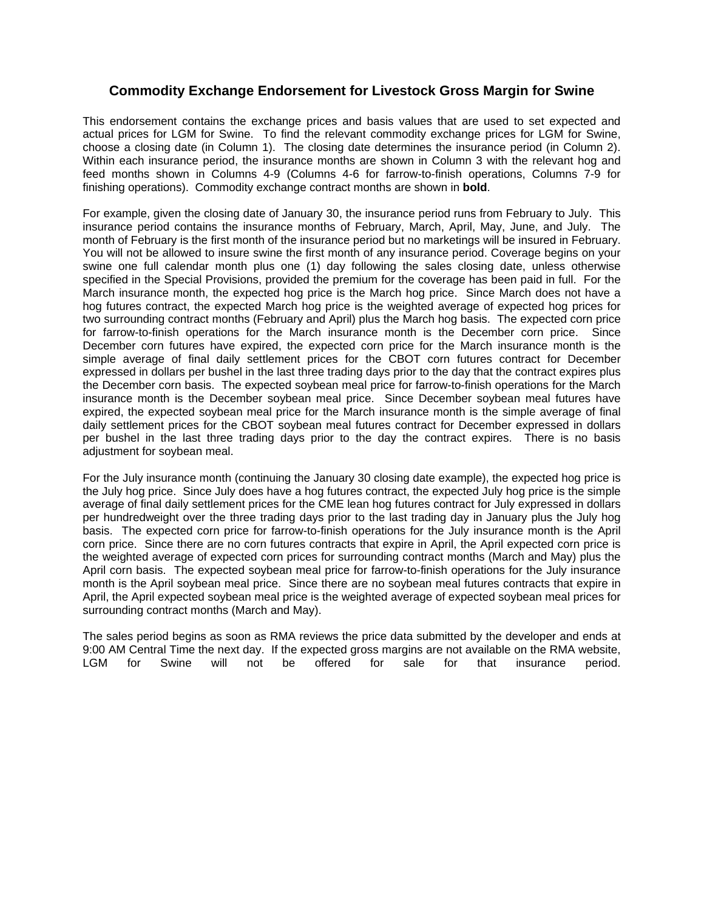## **Commodity Exchange Endorsement for Livestock Gross Margin for Swine**

 choose a closing date (in Column 1). The closing date determines the insurance period (in Column 2). This endorsement contains the exchange prices and basis values that are used to set expected and actual prices for LGM for Swine. To find the relevant commodity exchange prices for LGM for Swine, Within each insurance period, the insurance months are shown in Column 3 with the relevant hog and feed months shown in Columns 4-9 (Columns 4-6 for farrow-to-finish operations, Columns 7-9 for finishing operations). Commodity exchange contract months are shown in **bold**.

month of February is the first month of the insurance period but no marketings will be insured in February. For example, given the closing date of January 30, the insurance period runs from February to July. This insurance period contains the insurance months of February, March, April, May, June, and July. The You will not be allowed to insure swine the first month of any insurance period. Coverage begins on your swine one full calendar month plus one (1) day following the sales closing date, unless otherwise specified in the Special Provisions, provided the premium for the coverage has been paid in full. For the March insurance month, the expected hog price is the March hog price. Since March does not have a hog futures contract, the expected March hog price is the weighted average of expected hog prices for two surrounding contract months (February and April) plus the March hog basis. The expected corn price for farrow-to-finish operations for the March insurance month is the December corn price. Since December corn futures have expired, the expected corn price for the March insurance month is the simple average of final daily settlement prices for the CBOT corn futures contract for December expressed in dollars per bushel in the last three trading days prior to the day that the contract expires plus the December corn basis. The expected soybean meal price for farrow-to-finish operations for the March insurance month is the December soybean meal price. Since December soybean meal futures have expired, the expected soybean meal price for the March insurance month is the simple average of final daily settlement prices for the CBOT soybean meal futures contract for December expressed in dollars per bushel in the last three trading days prior to the day the contract expires. There is no basis adjustment for soybean meal.

For the July insurance month (continuing the January 30 closing date example), the expected hog price is the July hog price. Since July does have a hog futures contract, the expected July hog price is the simple average of final daily settlement prices for the CME lean hog futures contract for July expressed in dollars per hundredweight over the three trading days prior to the last trading day in January plus the July hog basis. The expected corn price for farrow-to-finish operations for the July insurance month is the April corn price. Since there are no corn futures contracts that expire in April, the April expected corn price is the weighted average of expected corn prices for surrounding contract months (March and May) plus the April corn basis. The expected soybean meal price for farrow-to-finish operations for the July insurance month is the April soybean meal price. Since there are no soybean meal futures contracts that expire in April, the April expected soybean meal price is the weighted average of expected soybean meal prices for surrounding contract months (March and May).

The sales period begins as soon as RMA reviews the price data submitted by the developer and ends at 9:00 AM Central Time the next day. If the expected gross margins are not available on the RMA website,<br>LGM for Swine will not be offered for sale for that insurance period. LGM for Swine will not be offered for sale for that insurance period.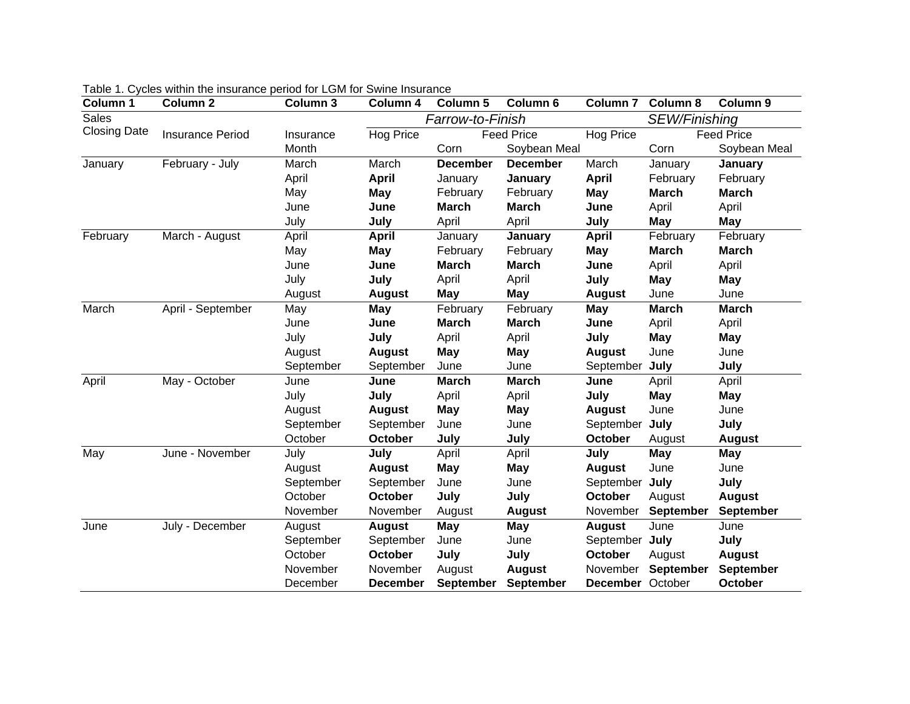| <b>Column 1</b>     | Column <sub>2</sub>     | Column 3  | Column 4        | <b>Column 5</b>      | Column 6          | Column <sub>7</sub> | Column 8         | Column 9         |
|---------------------|-------------------------|-----------|-----------------|----------------------|-------------------|---------------------|------------------|------------------|
| <b>Sales</b>        |                         |           |                 | Farrow-to-Finish     | SEW/Finishing     |                     |                  |                  |
| <b>Closing Date</b> | <b>Insurance Period</b> | Insurance | Hog Price       |                      | <b>Feed Price</b> | <b>Feed Price</b>   |                  |                  |
|                     |                         | Month     |                 | Corn<br>Soybean Meal |                   |                     | Corn             | Soybean Meal     |
| January             | February - July         | March     | March           | <b>December</b>      | <b>December</b>   | March               | January          | January          |
|                     |                         | April     | <b>April</b>    | January              | January           | <b>April</b>        | February         | February         |
|                     |                         | May       | May             | February<br>February |                   | May                 | <b>March</b>     | <b>March</b>     |
|                     |                         | June      | June            | <b>March</b>         | <b>March</b>      | June                | April            | April            |
|                     |                         | July      | July            | April                | April             | July                | May              | <b>May</b>       |
| February            | March - August          | April     | <b>April</b>    | January              | January           | <b>April</b>        | February         | February         |
|                     |                         | May       | <b>May</b>      | February             | February          | May                 | <b>March</b>     | <b>March</b>     |
|                     |                         | June      | June            | <b>March</b>         | <b>March</b>      | June                | April            | April            |
|                     |                         | July      | July            | April                | April             | July                | May              | May              |
|                     |                         | August    | <b>August</b>   | May                  | May               | <b>August</b>       | June             | June             |
| March               | April - September       | May       | May             | February             | February          | May                 | <b>March</b>     | <b>March</b>     |
|                     |                         | June      | June            | <b>March</b>         | <b>March</b>      | June                | April            | April            |
|                     |                         | July      | July            | April                | April             | July                | <b>May</b>       | May              |
|                     |                         | August    | <b>August</b>   | May                  | <b>May</b>        | <b>August</b>       | June             | June             |
|                     |                         | September | September       | June                 | June              | September           | July             | July             |
| April               | May - October           | June      | June            | <b>March</b>         | <b>March</b>      | June                | April            | April            |
|                     |                         | July      | July            | April                | April             | July                | <b>May</b>       | <b>May</b>       |
|                     |                         | August    | <b>August</b>   | May                  | May               | <b>August</b>       | June             | June             |
|                     |                         | September | September       | June                 | June              | September           | July             | July             |
|                     |                         | October   | October         | July                 | July              | October             | August           | <b>August</b>    |
| May                 | June - November         | July      | July            | April                | April             | July                | <b>May</b>       | May              |
|                     |                         | August    | <b>August</b>   | <b>May</b>           | May               | <b>August</b>       | June             | June             |
|                     |                         | September | September       | June                 | June              | September           | July             | July             |
|                     |                         | October   | <b>October</b>  | July                 | July              | <b>October</b>      | August           | <b>August</b>    |
|                     |                         | November  | November        | August               | <b>August</b>     | November            | September        | <b>September</b> |
| June                | July - December         | August    | <b>August</b>   | <b>May</b>           | <b>May</b>        | <b>August</b>       | June             | June             |
|                     |                         | September | September       | June                 | June              | September July      |                  | July             |
|                     |                         | October   | <b>October</b>  | July                 | July              | <b>October</b>      | August           | <b>August</b>    |
|                     |                         | November  | November        | August               | <b>August</b>     | November            | <b>September</b> | <b>September</b> |
|                     |                         | December  | <b>December</b> | <b>September</b>     | September         | <b>December</b>     | October          | <b>October</b>   |

|  | Table 1. Cycles within the insurance period for LGM for Swine Insurance |
|--|-------------------------------------------------------------------------|
|--|-------------------------------------------------------------------------|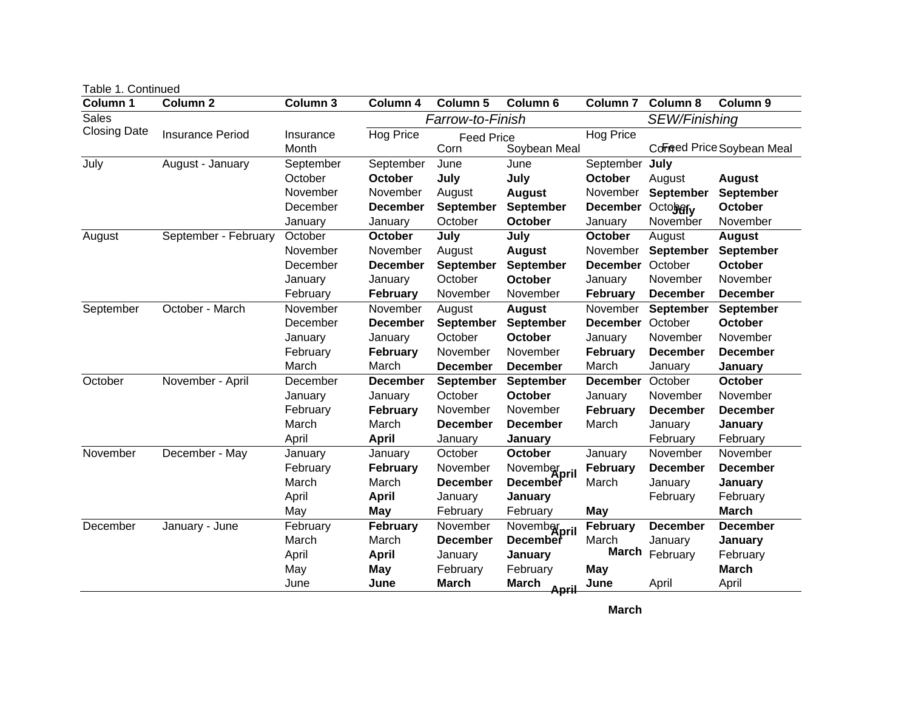| Column <sub>2</sub><br>Column 3<br>Column 6<br>Column 1<br>Column 4<br><b>Column 5</b><br><b>Column 7</b><br><b>Column 8</b><br>Column 9<br>Sales<br>Farrow-to-Finish<br>SEW/Finishing<br><b>Closing Date</b><br>Hog Price<br>Hog Price<br><b>Insurance Period</b><br>Insurance<br><b>Feed Price</b><br>Soybean Meal<br>Corned Price Soybean Meal<br>Month<br>Corn<br>September July<br>July<br>August - January<br>September<br>September<br>June<br>June<br>October<br>July<br>July<br>October<br>October<br>August<br><b>August</b><br>November<br>November<br>August<br><b>August</b><br><b>September</b><br><b>September</b><br>November<br>December<br><b>September</b><br>Octobery<br>October<br><b>December</b><br><b>September</b><br><b>December</b><br>October<br>November<br>October<br>November<br>January<br>January<br>January<br>September - February<br>October<br><b>October</b><br>July<br>July<br>August<br>October<br>August<br><b>August</b><br>August<br><b>August</b><br><b>September</b><br>September<br>November<br>November<br>November<br>September<br>October<br>October<br>December<br><b>December</b><br><b>September</b><br><b>December</b><br>October<br>November<br>October<br>November<br>January<br>January<br>January<br>February<br>February<br>November<br>November<br>February<br><b>December</b><br><b>December</b><br>October - March<br>November<br>November<br>November<br>September<br>August<br><b>August</b><br><b>September</b><br>September<br>October<br>October<br>December<br><b>December</b><br><b>September</b><br><b>September</b><br><b>December</b><br>October<br><b>October</b><br>November<br>November<br>January<br>January<br>January<br>November<br>November<br>February<br><b>February</b><br>February<br><b>December</b><br><b>December</b><br>March<br><b>December</b><br>March<br><b>December</b><br>March<br>January<br>January<br>November - April<br>October<br>December<br>October<br><b>October</b><br>September<br>September<br><b>December</b><br><b>December</b><br>October<br>October<br>November<br>January<br>January<br>January<br>November<br>February<br>November<br>February<br>November<br><b>February</b><br><b>December</b><br><b>December</b><br>March<br>March<br>March<br><b>December</b><br><b>December</b><br>January<br>January<br>April<br>February<br>February<br><b>April</b><br>January<br>January<br>November<br>December - May<br>October<br>November<br>October<br>January<br>November<br>January<br>January<br>February<br>February<br>February<br><b>December</b><br>November<br>Novemberpril<br><b>December</b><br>March<br>March<br><b>December</b><br><b>December</b><br>March<br>January<br>January<br>February<br>April<br>February<br><b>April</b><br>January<br>January<br>February<br><b>March</b><br><b>May</b><br>February<br><b>May</b><br>May<br>February<br>February<br><b>December</b><br>December<br>January - June<br>February<br>November<br>Novemberpril<br><b>December</b><br>March<br>March<br>March<br><b>December</b><br>January<br><b>December</b><br>January<br>March February<br>February<br>April<br><b>April</b><br>January<br>January<br>February<br><b>March</b><br>May<br>May<br>February<br>May<br>April<br>June<br>June<br><b>March</b><br><b>March</b><br>June<br>April<br>April | Table 1. Continued |  |  |  |  |  |  |  |
|----------------------------------------------------------------------------------------------------------------------------------------------------------------------------------------------------------------------------------------------------------------------------------------------------------------------------------------------------------------------------------------------------------------------------------------------------------------------------------------------------------------------------------------------------------------------------------------------------------------------------------------------------------------------------------------------------------------------------------------------------------------------------------------------------------------------------------------------------------------------------------------------------------------------------------------------------------------------------------------------------------------------------------------------------------------------------------------------------------------------------------------------------------------------------------------------------------------------------------------------------------------------------------------------------------------------------------------------------------------------------------------------------------------------------------------------------------------------------------------------------------------------------------------------------------------------------------------------------------------------------------------------------------------------------------------------------------------------------------------------------------------------------------------------------------------------------------------------------------------------------------------------------------------------------------------------------------------------------------------------------------------------------------------------------------------------------------------------------------------------------------------------------------------------------------------------------------------------------------------------------------------------------------------------------------------------------------------------------------------------------------------------------------------------------------------------------------------------------------------------------------------------------------------------------------------------------------------------------------------------------------------------------------------------------------------------------------------------------------------------------------------------------------------------------------------------------------------------------------------------------------------------------------------------------------------------------------------------------------------------------------------------------------------------------------------------------------------------------------------------------------------------------------------------------------------------------------------------------------------------------------------------------------------------------------------------|--------------------|--|--|--|--|--|--|--|
|                                                                                                                                                                                                                                                                                                                                                                                                                                                                                                                                                                                                                                                                                                                                                                                                                                                                                                                                                                                                                                                                                                                                                                                                                                                                                                                                                                                                                                                                                                                                                                                                                                                                                                                                                                                                                                                                                                                                                                                                                                                                                                                                                                                                                                                                                                                                                                                                                                                                                                                                                                                                                                                                                                                                                                                                                                                                                                                                                                                                                                                                                                                                                                                                                                                                                                                      |                    |  |  |  |  |  |  |  |
|                                                                                                                                                                                                                                                                                                                                                                                                                                                                                                                                                                                                                                                                                                                                                                                                                                                                                                                                                                                                                                                                                                                                                                                                                                                                                                                                                                                                                                                                                                                                                                                                                                                                                                                                                                                                                                                                                                                                                                                                                                                                                                                                                                                                                                                                                                                                                                                                                                                                                                                                                                                                                                                                                                                                                                                                                                                                                                                                                                                                                                                                                                                                                                                                                                                                                                                      |                    |  |  |  |  |  |  |  |
|                                                                                                                                                                                                                                                                                                                                                                                                                                                                                                                                                                                                                                                                                                                                                                                                                                                                                                                                                                                                                                                                                                                                                                                                                                                                                                                                                                                                                                                                                                                                                                                                                                                                                                                                                                                                                                                                                                                                                                                                                                                                                                                                                                                                                                                                                                                                                                                                                                                                                                                                                                                                                                                                                                                                                                                                                                                                                                                                                                                                                                                                                                                                                                                                                                                                                                                      |                    |  |  |  |  |  |  |  |
|                                                                                                                                                                                                                                                                                                                                                                                                                                                                                                                                                                                                                                                                                                                                                                                                                                                                                                                                                                                                                                                                                                                                                                                                                                                                                                                                                                                                                                                                                                                                                                                                                                                                                                                                                                                                                                                                                                                                                                                                                                                                                                                                                                                                                                                                                                                                                                                                                                                                                                                                                                                                                                                                                                                                                                                                                                                                                                                                                                                                                                                                                                                                                                                                                                                                                                                      |                    |  |  |  |  |  |  |  |
|                                                                                                                                                                                                                                                                                                                                                                                                                                                                                                                                                                                                                                                                                                                                                                                                                                                                                                                                                                                                                                                                                                                                                                                                                                                                                                                                                                                                                                                                                                                                                                                                                                                                                                                                                                                                                                                                                                                                                                                                                                                                                                                                                                                                                                                                                                                                                                                                                                                                                                                                                                                                                                                                                                                                                                                                                                                                                                                                                                                                                                                                                                                                                                                                                                                                                                                      |                    |  |  |  |  |  |  |  |
|                                                                                                                                                                                                                                                                                                                                                                                                                                                                                                                                                                                                                                                                                                                                                                                                                                                                                                                                                                                                                                                                                                                                                                                                                                                                                                                                                                                                                                                                                                                                                                                                                                                                                                                                                                                                                                                                                                                                                                                                                                                                                                                                                                                                                                                                                                                                                                                                                                                                                                                                                                                                                                                                                                                                                                                                                                                                                                                                                                                                                                                                                                                                                                                                                                                                                                                      |                    |  |  |  |  |  |  |  |
|                                                                                                                                                                                                                                                                                                                                                                                                                                                                                                                                                                                                                                                                                                                                                                                                                                                                                                                                                                                                                                                                                                                                                                                                                                                                                                                                                                                                                                                                                                                                                                                                                                                                                                                                                                                                                                                                                                                                                                                                                                                                                                                                                                                                                                                                                                                                                                                                                                                                                                                                                                                                                                                                                                                                                                                                                                                                                                                                                                                                                                                                                                                                                                                                                                                                                                                      |                    |  |  |  |  |  |  |  |
|                                                                                                                                                                                                                                                                                                                                                                                                                                                                                                                                                                                                                                                                                                                                                                                                                                                                                                                                                                                                                                                                                                                                                                                                                                                                                                                                                                                                                                                                                                                                                                                                                                                                                                                                                                                                                                                                                                                                                                                                                                                                                                                                                                                                                                                                                                                                                                                                                                                                                                                                                                                                                                                                                                                                                                                                                                                                                                                                                                                                                                                                                                                                                                                                                                                                                                                      |                    |  |  |  |  |  |  |  |
|                                                                                                                                                                                                                                                                                                                                                                                                                                                                                                                                                                                                                                                                                                                                                                                                                                                                                                                                                                                                                                                                                                                                                                                                                                                                                                                                                                                                                                                                                                                                                                                                                                                                                                                                                                                                                                                                                                                                                                                                                                                                                                                                                                                                                                                                                                                                                                                                                                                                                                                                                                                                                                                                                                                                                                                                                                                                                                                                                                                                                                                                                                                                                                                                                                                                                                                      |                    |  |  |  |  |  |  |  |
|                                                                                                                                                                                                                                                                                                                                                                                                                                                                                                                                                                                                                                                                                                                                                                                                                                                                                                                                                                                                                                                                                                                                                                                                                                                                                                                                                                                                                                                                                                                                                                                                                                                                                                                                                                                                                                                                                                                                                                                                                                                                                                                                                                                                                                                                                                                                                                                                                                                                                                                                                                                                                                                                                                                                                                                                                                                                                                                                                                                                                                                                                                                                                                                                                                                                                                                      |                    |  |  |  |  |  |  |  |
|                                                                                                                                                                                                                                                                                                                                                                                                                                                                                                                                                                                                                                                                                                                                                                                                                                                                                                                                                                                                                                                                                                                                                                                                                                                                                                                                                                                                                                                                                                                                                                                                                                                                                                                                                                                                                                                                                                                                                                                                                                                                                                                                                                                                                                                                                                                                                                                                                                                                                                                                                                                                                                                                                                                                                                                                                                                                                                                                                                                                                                                                                                                                                                                                                                                                                                                      |                    |  |  |  |  |  |  |  |
|                                                                                                                                                                                                                                                                                                                                                                                                                                                                                                                                                                                                                                                                                                                                                                                                                                                                                                                                                                                                                                                                                                                                                                                                                                                                                                                                                                                                                                                                                                                                                                                                                                                                                                                                                                                                                                                                                                                                                                                                                                                                                                                                                                                                                                                                                                                                                                                                                                                                                                                                                                                                                                                                                                                                                                                                                                                                                                                                                                                                                                                                                                                                                                                                                                                                                                                      |                    |  |  |  |  |  |  |  |
|                                                                                                                                                                                                                                                                                                                                                                                                                                                                                                                                                                                                                                                                                                                                                                                                                                                                                                                                                                                                                                                                                                                                                                                                                                                                                                                                                                                                                                                                                                                                                                                                                                                                                                                                                                                                                                                                                                                                                                                                                                                                                                                                                                                                                                                                                                                                                                                                                                                                                                                                                                                                                                                                                                                                                                                                                                                                                                                                                                                                                                                                                                                                                                                                                                                                                                                      |                    |  |  |  |  |  |  |  |
|                                                                                                                                                                                                                                                                                                                                                                                                                                                                                                                                                                                                                                                                                                                                                                                                                                                                                                                                                                                                                                                                                                                                                                                                                                                                                                                                                                                                                                                                                                                                                                                                                                                                                                                                                                                                                                                                                                                                                                                                                                                                                                                                                                                                                                                                                                                                                                                                                                                                                                                                                                                                                                                                                                                                                                                                                                                                                                                                                                                                                                                                                                                                                                                                                                                                                                                      |                    |  |  |  |  |  |  |  |
|                                                                                                                                                                                                                                                                                                                                                                                                                                                                                                                                                                                                                                                                                                                                                                                                                                                                                                                                                                                                                                                                                                                                                                                                                                                                                                                                                                                                                                                                                                                                                                                                                                                                                                                                                                                                                                                                                                                                                                                                                                                                                                                                                                                                                                                                                                                                                                                                                                                                                                                                                                                                                                                                                                                                                                                                                                                                                                                                                                                                                                                                                                                                                                                                                                                                                                                      |                    |  |  |  |  |  |  |  |
|                                                                                                                                                                                                                                                                                                                                                                                                                                                                                                                                                                                                                                                                                                                                                                                                                                                                                                                                                                                                                                                                                                                                                                                                                                                                                                                                                                                                                                                                                                                                                                                                                                                                                                                                                                                                                                                                                                                                                                                                                                                                                                                                                                                                                                                                                                                                                                                                                                                                                                                                                                                                                                                                                                                                                                                                                                                                                                                                                                                                                                                                                                                                                                                                                                                                                                                      |                    |  |  |  |  |  |  |  |
|                                                                                                                                                                                                                                                                                                                                                                                                                                                                                                                                                                                                                                                                                                                                                                                                                                                                                                                                                                                                                                                                                                                                                                                                                                                                                                                                                                                                                                                                                                                                                                                                                                                                                                                                                                                                                                                                                                                                                                                                                                                                                                                                                                                                                                                                                                                                                                                                                                                                                                                                                                                                                                                                                                                                                                                                                                                                                                                                                                                                                                                                                                                                                                                                                                                                                                                      |                    |  |  |  |  |  |  |  |
|                                                                                                                                                                                                                                                                                                                                                                                                                                                                                                                                                                                                                                                                                                                                                                                                                                                                                                                                                                                                                                                                                                                                                                                                                                                                                                                                                                                                                                                                                                                                                                                                                                                                                                                                                                                                                                                                                                                                                                                                                                                                                                                                                                                                                                                                                                                                                                                                                                                                                                                                                                                                                                                                                                                                                                                                                                                                                                                                                                                                                                                                                                                                                                                                                                                                                                                      |                    |  |  |  |  |  |  |  |
|                                                                                                                                                                                                                                                                                                                                                                                                                                                                                                                                                                                                                                                                                                                                                                                                                                                                                                                                                                                                                                                                                                                                                                                                                                                                                                                                                                                                                                                                                                                                                                                                                                                                                                                                                                                                                                                                                                                                                                                                                                                                                                                                                                                                                                                                                                                                                                                                                                                                                                                                                                                                                                                                                                                                                                                                                                                                                                                                                                                                                                                                                                                                                                                                                                                                                                                      |                    |  |  |  |  |  |  |  |
|                                                                                                                                                                                                                                                                                                                                                                                                                                                                                                                                                                                                                                                                                                                                                                                                                                                                                                                                                                                                                                                                                                                                                                                                                                                                                                                                                                                                                                                                                                                                                                                                                                                                                                                                                                                                                                                                                                                                                                                                                                                                                                                                                                                                                                                                                                                                                                                                                                                                                                                                                                                                                                                                                                                                                                                                                                                                                                                                                                                                                                                                                                                                                                                                                                                                                                                      |                    |  |  |  |  |  |  |  |
|                                                                                                                                                                                                                                                                                                                                                                                                                                                                                                                                                                                                                                                                                                                                                                                                                                                                                                                                                                                                                                                                                                                                                                                                                                                                                                                                                                                                                                                                                                                                                                                                                                                                                                                                                                                                                                                                                                                                                                                                                                                                                                                                                                                                                                                                                                                                                                                                                                                                                                                                                                                                                                                                                                                                                                                                                                                                                                                                                                                                                                                                                                                                                                                                                                                                                                                      |                    |  |  |  |  |  |  |  |
|                                                                                                                                                                                                                                                                                                                                                                                                                                                                                                                                                                                                                                                                                                                                                                                                                                                                                                                                                                                                                                                                                                                                                                                                                                                                                                                                                                                                                                                                                                                                                                                                                                                                                                                                                                                                                                                                                                                                                                                                                                                                                                                                                                                                                                                                                                                                                                                                                                                                                                                                                                                                                                                                                                                                                                                                                                                                                                                                                                                                                                                                                                                                                                                                                                                                                                                      |                    |  |  |  |  |  |  |  |
|                                                                                                                                                                                                                                                                                                                                                                                                                                                                                                                                                                                                                                                                                                                                                                                                                                                                                                                                                                                                                                                                                                                                                                                                                                                                                                                                                                                                                                                                                                                                                                                                                                                                                                                                                                                                                                                                                                                                                                                                                                                                                                                                                                                                                                                                                                                                                                                                                                                                                                                                                                                                                                                                                                                                                                                                                                                                                                                                                                                                                                                                                                                                                                                                                                                                                                                      |                    |  |  |  |  |  |  |  |
|                                                                                                                                                                                                                                                                                                                                                                                                                                                                                                                                                                                                                                                                                                                                                                                                                                                                                                                                                                                                                                                                                                                                                                                                                                                                                                                                                                                                                                                                                                                                                                                                                                                                                                                                                                                                                                                                                                                                                                                                                                                                                                                                                                                                                                                                                                                                                                                                                                                                                                                                                                                                                                                                                                                                                                                                                                                                                                                                                                                                                                                                                                                                                                                                                                                                                                                      |                    |  |  |  |  |  |  |  |
|                                                                                                                                                                                                                                                                                                                                                                                                                                                                                                                                                                                                                                                                                                                                                                                                                                                                                                                                                                                                                                                                                                                                                                                                                                                                                                                                                                                                                                                                                                                                                                                                                                                                                                                                                                                                                                                                                                                                                                                                                                                                                                                                                                                                                                                                                                                                                                                                                                                                                                                                                                                                                                                                                                                                                                                                                                                                                                                                                                                                                                                                                                                                                                                                                                                                                                                      |                    |  |  |  |  |  |  |  |
|                                                                                                                                                                                                                                                                                                                                                                                                                                                                                                                                                                                                                                                                                                                                                                                                                                                                                                                                                                                                                                                                                                                                                                                                                                                                                                                                                                                                                                                                                                                                                                                                                                                                                                                                                                                                                                                                                                                                                                                                                                                                                                                                                                                                                                                                                                                                                                                                                                                                                                                                                                                                                                                                                                                                                                                                                                                                                                                                                                                                                                                                                                                                                                                                                                                                                                                      |                    |  |  |  |  |  |  |  |
|                                                                                                                                                                                                                                                                                                                                                                                                                                                                                                                                                                                                                                                                                                                                                                                                                                                                                                                                                                                                                                                                                                                                                                                                                                                                                                                                                                                                                                                                                                                                                                                                                                                                                                                                                                                                                                                                                                                                                                                                                                                                                                                                                                                                                                                                                                                                                                                                                                                                                                                                                                                                                                                                                                                                                                                                                                                                                                                                                                                                                                                                                                                                                                                                                                                                                                                      |                    |  |  |  |  |  |  |  |
|                                                                                                                                                                                                                                                                                                                                                                                                                                                                                                                                                                                                                                                                                                                                                                                                                                                                                                                                                                                                                                                                                                                                                                                                                                                                                                                                                                                                                                                                                                                                                                                                                                                                                                                                                                                                                                                                                                                                                                                                                                                                                                                                                                                                                                                                                                                                                                                                                                                                                                                                                                                                                                                                                                                                                                                                                                                                                                                                                                                                                                                                                                                                                                                                                                                                                                                      |                    |  |  |  |  |  |  |  |
|                                                                                                                                                                                                                                                                                                                                                                                                                                                                                                                                                                                                                                                                                                                                                                                                                                                                                                                                                                                                                                                                                                                                                                                                                                                                                                                                                                                                                                                                                                                                                                                                                                                                                                                                                                                                                                                                                                                                                                                                                                                                                                                                                                                                                                                                                                                                                                                                                                                                                                                                                                                                                                                                                                                                                                                                                                                                                                                                                                                                                                                                                                                                                                                                                                                                                                                      |                    |  |  |  |  |  |  |  |
|                                                                                                                                                                                                                                                                                                                                                                                                                                                                                                                                                                                                                                                                                                                                                                                                                                                                                                                                                                                                                                                                                                                                                                                                                                                                                                                                                                                                                                                                                                                                                                                                                                                                                                                                                                                                                                                                                                                                                                                                                                                                                                                                                                                                                                                                                                                                                                                                                                                                                                                                                                                                                                                                                                                                                                                                                                                                                                                                                                                                                                                                                                                                                                                                                                                                                                                      |                    |  |  |  |  |  |  |  |
|                                                                                                                                                                                                                                                                                                                                                                                                                                                                                                                                                                                                                                                                                                                                                                                                                                                                                                                                                                                                                                                                                                                                                                                                                                                                                                                                                                                                                                                                                                                                                                                                                                                                                                                                                                                                                                                                                                                                                                                                                                                                                                                                                                                                                                                                                                                                                                                                                                                                                                                                                                                                                                                                                                                                                                                                                                                                                                                                                                                                                                                                                                                                                                                                                                                                                                                      |                    |  |  |  |  |  |  |  |
|                                                                                                                                                                                                                                                                                                                                                                                                                                                                                                                                                                                                                                                                                                                                                                                                                                                                                                                                                                                                                                                                                                                                                                                                                                                                                                                                                                                                                                                                                                                                                                                                                                                                                                                                                                                                                                                                                                                                                                                                                                                                                                                                                                                                                                                                                                                                                                                                                                                                                                                                                                                                                                                                                                                                                                                                                                                                                                                                                                                                                                                                                                                                                                                                                                                                                                                      |                    |  |  |  |  |  |  |  |
|                                                                                                                                                                                                                                                                                                                                                                                                                                                                                                                                                                                                                                                                                                                                                                                                                                                                                                                                                                                                                                                                                                                                                                                                                                                                                                                                                                                                                                                                                                                                                                                                                                                                                                                                                                                                                                                                                                                                                                                                                                                                                                                                                                                                                                                                                                                                                                                                                                                                                                                                                                                                                                                                                                                                                                                                                                                                                                                                                                                                                                                                                                                                                                                                                                                                                                                      |                    |  |  |  |  |  |  |  |
|                                                                                                                                                                                                                                                                                                                                                                                                                                                                                                                                                                                                                                                                                                                                                                                                                                                                                                                                                                                                                                                                                                                                                                                                                                                                                                                                                                                                                                                                                                                                                                                                                                                                                                                                                                                                                                                                                                                                                                                                                                                                                                                                                                                                                                                                                                                                                                                                                                                                                                                                                                                                                                                                                                                                                                                                                                                                                                                                                                                                                                                                                                                                                                                                                                                                                                                      |                    |  |  |  |  |  |  |  |

**March**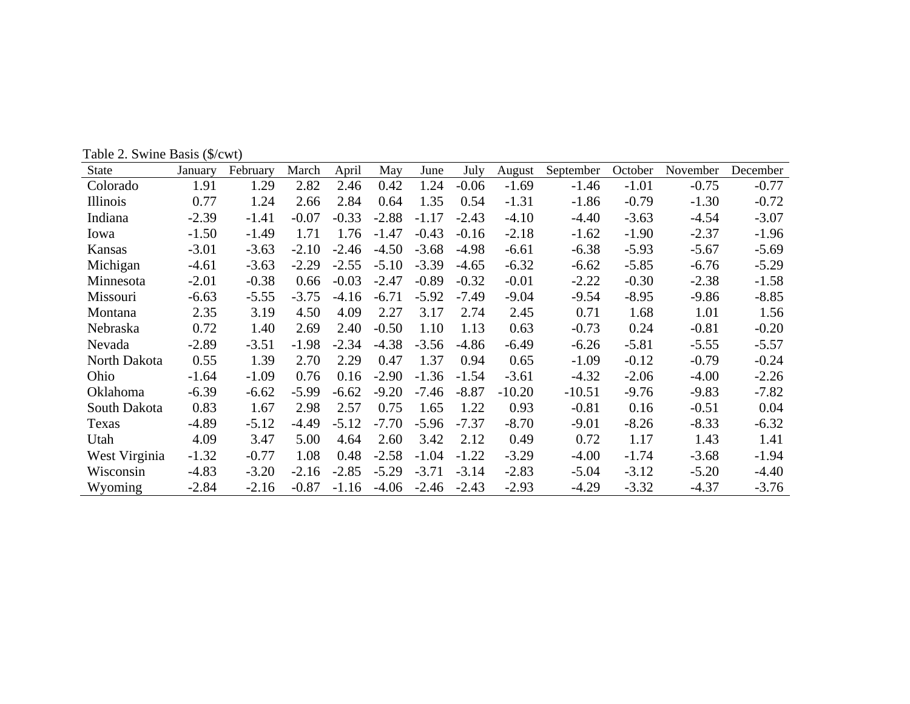Table 2. Swine Basis (\$/cwt)

| State           | January | February | March   | April   | May     | June    | July    | August   | September | October | November | December |
|-----------------|---------|----------|---------|---------|---------|---------|---------|----------|-----------|---------|----------|----------|
| Colorado        | 1.91    | 1.29     | 2.82    | 2.46    | 0.42    | 1.24    | $-0.06$ | $-1.69$  | $-1.46$   | $-1.01$ | $-0.75$  | $-0.77$  |
| <b>Illinois</b> | 0.77    | 1.24     | 2.66    | 2.84    | 0.64    | 1.35    | 0.54    | $-1.31$  | $-1.86$   | $-0.79$ | $-1.30$  | $-0.72$  |
| Indiana         | $-2.39$ | $-1.41$  | $-0.07$ | $-0.33$ | $-2.88$ | $-1.17$ | $-2.43$ | $-4.10$  | $-4.40$   | $-3.63$ | $-4.54$  | $-3.07$  |
| Iowa            | $-1.50$ | $-1.49$  | 1.71    | 1.76    | $-1.47$ | $-0.43$ | $-0.16$ | $-2.18$  | $-1.62$   | $-1.90$ | $-2.37$  | $-1.96$  |
| Kansas          | $-3.01$ | $-3.63$  | $-2.10$ | $-2.46$ | $-4.50$ | $-3.68$ | $-4.98$ | $-6.61$  | $-6.38$   | $-5.93$ | $-5.67$  | $-5.69$  |
| Michigan        | $-4.61$ | $-3.63$  | $-2.29$ | $-2.55$ | $-5.10$ | $-3.39$ | $-4.65$ | $-6.32$  | $-6.62$   | $-5.85$ | $-6.76$  | $-5.29$  |
| Minnesota       | $-2.01$ | $-0.38$  | 0.66    | $-0.03$ | $-2.47$ | $-0.89$ | $-0.32$ | $-0.01$  | $-2.22$   | $-0.30$ | $-2.38$  | $-1.58$  |
| Missouri        | $-6.63$ | $-5.55$  | $-3.75$ | $-4.16$ | $-6.71$ | $-5.92$ | $-7.49$ | $-9.04$  | $-9.54$   | $-8.95$ | $-9.86$  | $-8.85$  |
| Montana         | 2.35    | 3.19     | 4.50    | 4.09    | 2.27    | 3.17    | 2.74    | 2.45     | 0.71      | 1.68    | 1.01     | 1.56     |
| Nebraska        | 0.72    | 1.40     | 2.69    | 2.40    | $-0.50$ | 1.10    | 1.13    | 0.63     | $-0.73$   | 0.24    | $-0.81$  | $-0.20$  |
| Nevada          | $-2.89$ | $-3.51$  | $-1.98$ | $-2.34$ | $-4.38$ | $-3.56$ | $-4.86$ | $-6.49$  | $-6.26$   | $-5.81$ | $-5.55$  | $-5.57$  |
| North Dakota    | 0.55    | 1.39     | 2.70    | 2.29    | 0.47    | 1.37    | 0.94    | 0.65     | $-1.09$   | $-0.12$ | $-0.79$  | $-0.24$  |
| Ohio            | $-1.64$ | $-1.09$  | 0.76    | 0.16    | $-2.90$ | $-1.36$ | $-1.54$ | $-3.61$  | $-4.32$   | $-2.06$ | $-4.00$  | $-2.26$  |
| Oklahoma        | $-6.39$ | $-6.62$  | $-5.99$ | $-6.62$ | $-9.20$ | $-7.46$ | $-8.87$ | $-10.20$ | $-10.51$  | $-9.76$ | $-9.83$  | $-7.82$  |
| South Dakota    | 0.83    | 1.67     | 2.98    | 2.57    | 0.75    | 1.65    | 1.22    | 0.93     | $-0.81$   | 0.16    | $-0.51$  | 0.04     |
| Texas           | $-4.89$ | $-5.12$  | $-4.49$ | $-5.12$ | $-7.70$ | $-5.96$ | $-7.37$ | $-8.70$  | $-9.01$   | $-8.26$ | $-8.33$  | $-6.32$  |
| Utah            | 4.09    | 3.47     | 5.00    | 4.64    | 2.60    | 3.42    | 2.12    | 0.49     | 0.72      | 1.17    | 1.43     | 1.41     |
| West Virginia   | $-1.32$ | $-0.77$  | 1.08    | 0.48    | $-2.58$ | $-1.04$ | $-1.22$ | $-3.29$  | $-4.00$   | $-1.74$ | $-3.68$  | $-1.94$  |
| Wisconsin       | $-4.83$ | $-3.20$  | $-2.16$ | $-2.85$ | $-5.29$ | $-3.71$ | $-3.14$ | $-2.83$  | $-5.04$   | $-3.12$ | $-5.20$  | $-4.40$  |
| Wyoming         | $-2.84$ | $-2.16$  | $-0.87$ | $-1.16$ | $-4.06$ | $-2.46$ | $-2.43$ | $-2.93$  | $-4.29$   | $-3.32$ | $-4.37$  | $-3.76$  |